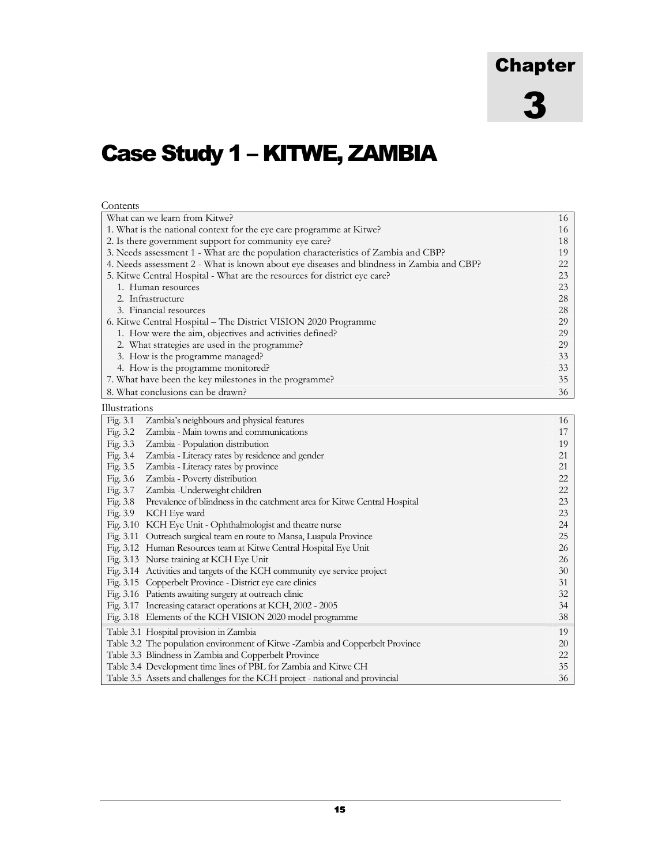# Chapter 3

# Case Study 1 – KITWE, ZAMBIA

| Contents                                                                                  |    |  |  |  |  |  |  |  |
|-------------------------------------------------------------------------------------------|----|--|--|--|--|--|--|--|
| What can we learn from Kitwe?                                                             | 16 |  |  |  |  |  |  |  |
| 1. What is the national context for the eye care programme at Kitwe?                      |    |  |  |  |  |  |  |  |
| 2. Is there government support for community eye care?                                    |    |  |  |  |  |  |  |  |
| 3. Needs assessment 1 - What are the population characteristics of Zambia and CBP?        |    |  |  |  |  |  |  |  |
| 4. Needs assessment 2 - What is known about eye diseases and blindness in Zambia and CBP? | 22 |  |  |  |  |  |  |  |
| 5. Kitwe Central Hospital - What are the resources for district eye care?                 | 23 |  |  |  |  |  |  |  |
| 1. Human resources                                                                        | 23 |  |  |  |  |  |  |  |
| 2. Infrastructure                                                                         | 28 |  |  |  |  |  |  |  |
| 3. Financial resources                                                                    | 28 |  |  |  |  |  |  |  |
| 6. Kitwe Central Hospital – The District VISION 2020 Programme                            | 29 |  |  |  |  |  |  |  |
| 1. How were the aim, objectives and activities defined?                                   | 29 |  |  |  |  |  |  |  |
| 2. What strategies are used in the programme?                                             | 29 |  |  |  |  |  |  |  |
| 3. How is the programme managed?                                                          | 33 |  |  |  |  |  |  |  |
| 4. How is the programme monitored?                                                        | 33 |  |  |  |  |  |  |  |
| 7. What have been the key milestones in the programme?                                    | 35 |  |  |  |  |  |  |  |
| 8. What conclusions can be drawn?                                                         | 36 |  |  |  |  |  |  |  |
| Illustrations                                                                             |    |  |  |  |  |  |  |  |
| Fig. 3.1<br>Zambia's neighbours and physical features                                     | 16 |  |  |  |  |  |  |  |
| Zambia - Main towns and communications<br>Fig. 3.2                                        | 17 |  |  |  |  |  |  |  |
| Fig. 3.3<br>Zambia - Population distribution                                              | 19 |  |  |  |  |  |  |  |
| Fig. 3.4<br>Zambia - Literacy rates by residence and gender                               | 21 |  |  |  |  |  |  |  |
| Fig. 3.5<br>Zambia - Literacy rates by province                                           | 21 |  |  |  |  |  |  |  |
| Fig. 3.6<br>Zambia - Poverty distribution                                                 | 22 |  |  |  |  |  |  |  |
| Fig. 3.7<br>Zambia - Underweight children                                                 | 22 |  |  |  |  |  |  |  |
| Fig. 3.8<br>Prevalence of blindness in the catchment area for Kitwe Central Hospital      | 23 |  |  |  |  |  |  |  |
| KCH Eye ward<br>Fig. 3.9                                                                  | 23 |  |  |  |  |  |  |  |
| Fig. 3.10 KCH Eye Unit - Ophthalmologist and theatre nurse                                | 24 |  |  |  |  |  |  |  |
| Fig. 3.11 Outreach surgical team en route to Mansa, Luapula Province                      | 25 |  |  |  |  |  |  |  |
| Fig. 3.12 Human Resources team at Kitwe Central Hospital Eye Unit                         | 26 |  |  |  |  |  |  |  |
| Fig. 3.13 Nurse training at KCH Eye Unit                                                  | 26 |  |  |  |  |  |  |  |
| Fig. 3.14 Activities and targets of the KCH community eye service project                 | 30 |  |  |  |  |  |  |  |
| Fig. 3.15 Copperbelt Province - District eye care clinics                                 | 31 |  |  |  |  |  |  |  |
| Fig. 3.16 Patients awaiting surgery at outreach clinic                                    | 32 |  |  |  |  |  |  |  |
| Fig. 3.17 Increasing cataract operations at KCH, 2002 - 2005                              | 34 |  |  |  |  |  |  |  |
| Fig. 3.18 Elements of the KCH VISION 2020 model programme                                 | 38 |  |  |  |  |  |  |  |
|                                                                                           |    |  |  |  |  |  |  |  |
| Table 3.1 Hospital provision in Zambia                                                    | 19 |  |  |  |  |  |  |  |
| Table 3.2 The population environment of Kitwe -Zambia and Copperbelt Province             | 20 |  |  |  |  |  |  |  |
| Table 3.3 Blindness in Zambia and Copperbelt Province                                     | 22 |  |  |  |  |  |  |  |
| Table 3.4 Development time lines of PBL for Zambia and Kitwe CH                           | 35 |  |  |  |  |  |  |  |
| Table 3.5 Assets and challenges for the KCH project - national and provincial             | 36 |  |  |  |  |  |  |  |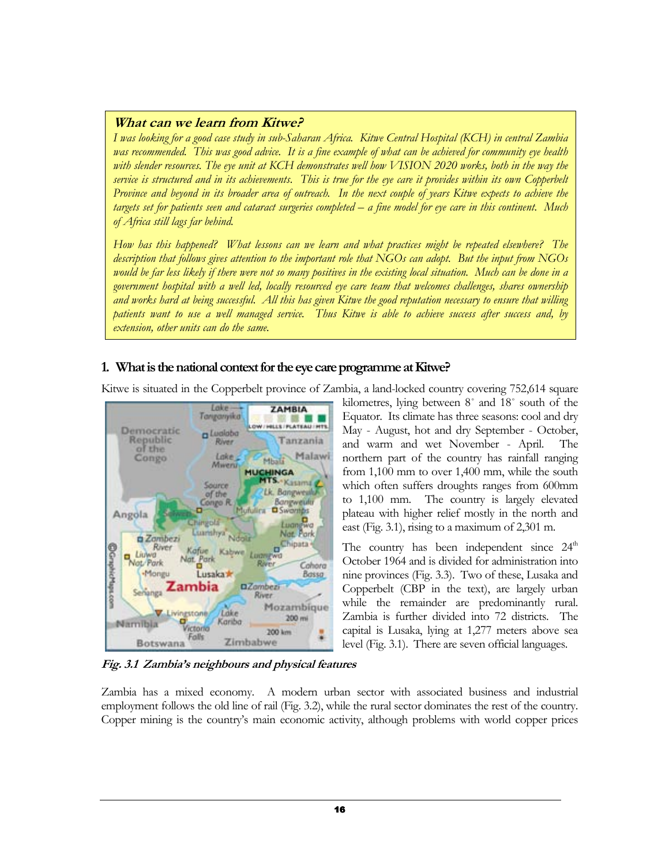# What can we learn from Kitwe?

I was looking for a good case study in sub-Saharan Africa. Kitwe Central Hospital (KCH) in central Zambia was recommended. This was good advice. It is a fine example of what can be achieved for community eye health with slender resources. The eye unit at KCH demonstrates well how VISION 2020 works, both in the way the service is structured and in its achievements. This is true for the eye care it provides within its own Copperbelt Province and beyond in its broader area of outreach. In the next couple of years Kitwe expects to achieve the targets set for patients seen and cataract surgeries completed – a fine model for eye care in this continent. Much of Africa still lags far behind.

How has this happened? What lessons can we learn and what practices might be repeated elsewhere? The description that follows gives attention to the important role that NGOs can adopt. But the input from NGOs would be far less likely if there were not so many positives in the existing local situation. Much can be done in a government hospital with a well led, locally resourced eye care team that welcomes challenges, shares ownership and works hard at being successful. All this has given Kitwe the good reputation necessary to ensure that willing patients want to use a well managed service. Thus Kitwe is able to achieve success after success and, by extension, other units can do the same.

# 1. What is the national context for the eye care programme at Kitwe?

Kitwe is situated in the Copperbelt province of Zambia, a land-locked country covering 752,614 square



kilometres, lying between 8˚ and 18˚ south of the Equator. Its climate has three seasons: cool and dry May - August, hot and dry September - October, and warm and wet November - April. The northern part of the country has rainfall ranging from 1,100 mm to over 1,400 mm, while the south which often suffers droughts ranges from 600mm to 1,100 mm. The country is largely elevated plateau with higher relief mostly in the north and east (Fig. 3.1), rising to a maximum of 2,301 m.

The country has been independent since  $24<sup>th</sup>$ October 1964 and is divided for administration into nine provinces (Fig. 3.3). Two of these, Lusaka and Copperbelt (CBP in the text), are largely urban while the remainder are predominantly rural. Zambia is further divided into 72 districts. The capital is Lusaka, lying at 1,277 meters above sea level (Fig. 3.1). There are seven official languages.

Fig. 3.1 Zambia's neighbours and physical features

Zambia has a mixed economy. A modern urban sector with associated business and industrial employment follows the old line of rail (Fig. 3.2), while the rural sector dominates the rest of the country. Copper mining is the country's main economic activity, although problems with world copper prices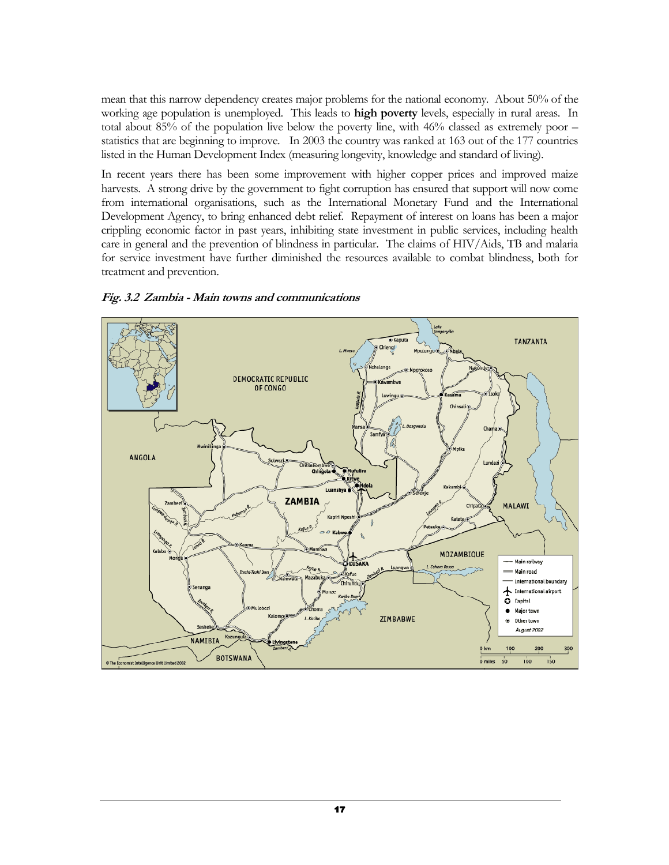mean that this narrow dependency creates major problems for the national economy. About 50% of the working age population is unemployed. This leads to **high poverty** levels, especially in rural areas. In total about 85% of the population live below the poverty line, with 46% classed as extremely poor – statistics that are beginning to improve. In 2003 the country was ranked at 163 out of the 177 countries listed in the Human Development Index (measuring longevity, knowledge and standard of living).

In recent years there has been some improvement with higher copper prices and improved maize harvests. A strong drive by the government to fight corruption has ensured that support will now come from international organisations, such as the International Monetary Fund and the International Development Agency, to bring enhanced debt relief. Repayment of interest on loans has been a major crippling economic factor in past years, inhibiting state investment in public services, including health care in general and the prevention of blindness in particular. The claims of HIV/Aids, TB and malaria for service investment have further diminished the resources available to combat blindness, both for treatment and prevention.



Fig. 3.2 Zambia - Main towns and communications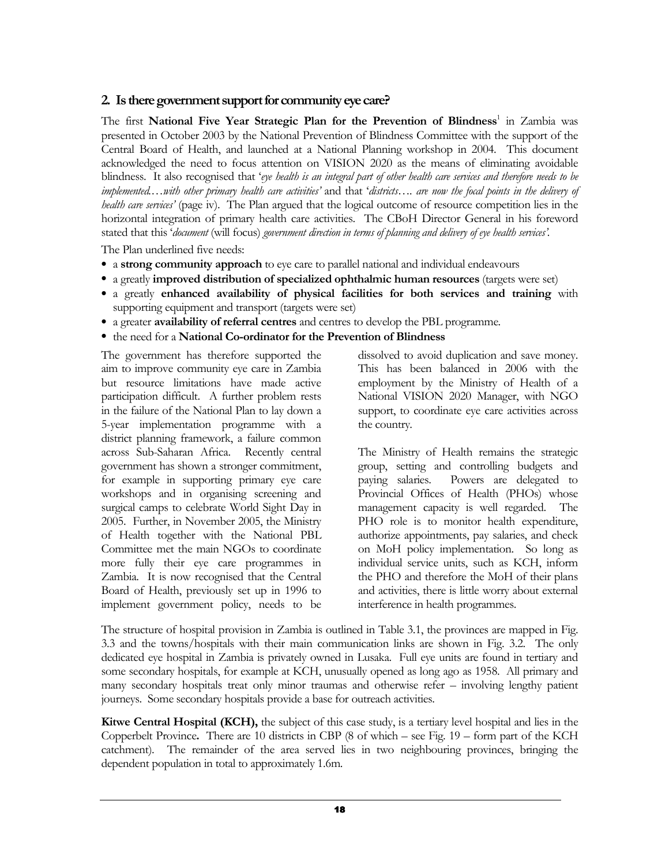# 2. Is there government support for community eye care?

The first National Five Year Strategic Plan for the Prevention of Blindness<sup>1</sup> in Zambia was presented in October 2003 by the National Prevention of Blindness Committee with the support of the Central Board of Health, and launched at a National Planning workshop in 2004. This document acknowledged the need to focus attention on VISION 2020 as the means of eliminating avoidable blindness. It also recognised that 'eye health is an integral part of other health care services and therefore needs to be implemented.…with other primary health care activities' and that 'districts…. are now the focal points in the delivery of health care services' (page iv). The Plan argued that the logical outcome of resource competition lies in the horizontal integration of primary health care activities. The CBoH Director General in his foreword stated that this 'document (will focus) government direction in terms of planning and delivery of eye health services'.

The Plan underlined five needs:

- a strong community approach to eye care to parallel national and individual endeavours
- a greatly improved distribution of specialized ophthalmic human resources (targets were set)
- a greatly enhanced availability of physical facilities for both services and training with supporting equipment and transport (targets were set)
- a greater availability of referral centres and centres to develop the PBL programme.
- the need for a National Co-ordinator for the Prevention of Blindness

The government has therefore supported the aim to improve community eye care in Zambia but resource limitations have made active participation difficult. A further problem rests in the failure of the National Plan to lay down a 5-year implementation programme with a district planning framework, a failure common across Sub-Saharan Africa. Recently central government has shown a stronger commitment, for example in supporting primary eye care workshops and in organising screening and surgical camps to celebrate World Sight Day in 2005. Further, in November 2005, the Ministry of Health together with the National PBL Committee met the main NGOs to coordinate more fully their eye care programmes in Zambia. It is now recognised that the Central Board of Health, previously set up in 1996 to implement government policy, needs to be

dissolved to avoid duplication and save money. This has been balanced in 2006 with the employment by the Ministry of Health of a National VISION 2020 Manager, with NGO support, to coordinate eye care activities across the country.

The Ministry of Health remains the strategic group, setting and controlling budgets and paying salaries. Powers are delegated to Provincial Offices of Health (PHOs) whose management capacity is well regarded. The PHO role is to monitor health expenditure, authorize appointments, pay salaries, and check on MoH policy implementation. So long as individual service units, such as KCH, inform the PHO and therefore the MoH of their plans and activities, there is little worry about external interference in health programmes.

The structure of hospital provision in Zambia is outlined in Table 3.1, the provinces are mapped in Fig. 3.3 and the towns/hospitals with their main communication links are shown in Fig. 3.2. The only dedicated eye hospital in Zambia is privately owned in Lusaka. Full eye units are found in tertiary and some secondary hospitals, for example at KCH, unusually opened as long ago as 1958. All primary and many secondary hospitals treat only minor traumas and otherwise refer – involving lengthy patient journeys. Some secondary hospitals provide a base for outreach activities.

Kitwe Central Hospital (KCH), the subject of this case study, is a tertiary level hospital and lies in the Copperbelt Province. There are 10 districts in CBP (8 of which – see Fig. 19 – form part of the KCH catchment). The remainder of the area served lies in two neighbouring provinces, bringing the dependent population in total to approximately 1.6m.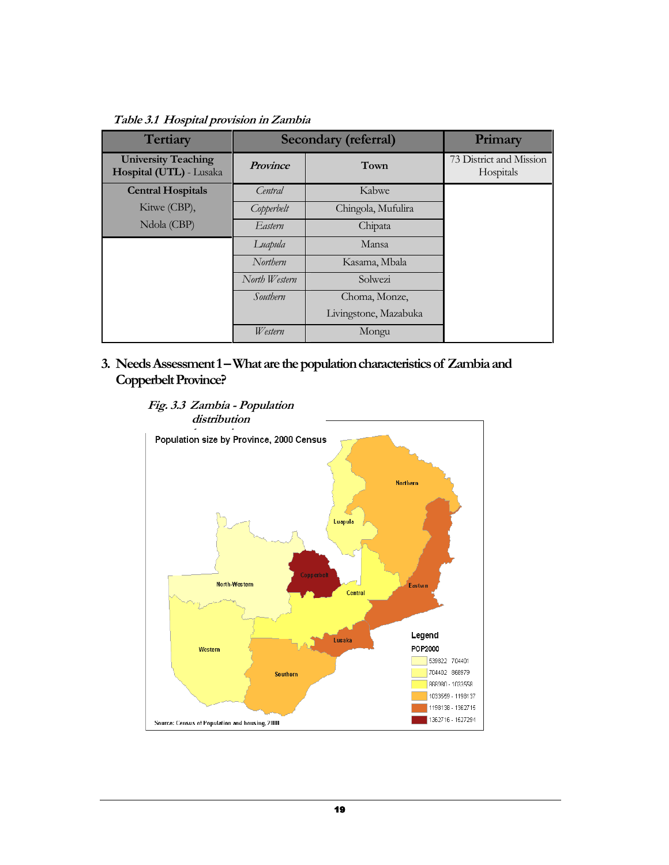Table 3.1 Hospital provision in Zambia

| <b>Tertiary</b>                                       | Secondary (referral) | Primary               |                                      |
|-------------------------------------------------------|----------------------|-----------------------|--------------------------------------|
| <b>University Teaching</b><br>Hospital (UTL) - Lusaka | <b>Province</b>      | Town                  | 73 District and Mission<br>Hospitals |
| <b>Central Hospitals</b>                              | Central              | Kabwe                 |                                      |
| Kitwe (CBP),                                          | Copperbelt           | Chingola, Mufulira    |                                      |
| Ndola (CBP)                                           | Eastern              | Chipata               |                                      |
|                                                       | Luapula              | Mansa                 |                                      |
|                                                       | Northern             | Kasama, Mbala         |                                      |
|                                                       | North Western        | Solwezi               |                                      |
|                                                       | Southern             | Choma, Monze,         |                                      |
|                                                       |                      | Livingstone, Mazabuka |                                      |
|                                                       | <i>Western</i>       | Mongu                 |                                      |

3. Needs Assessment 1 – What are the population characteristics of Zambia and Copperbelt Province?

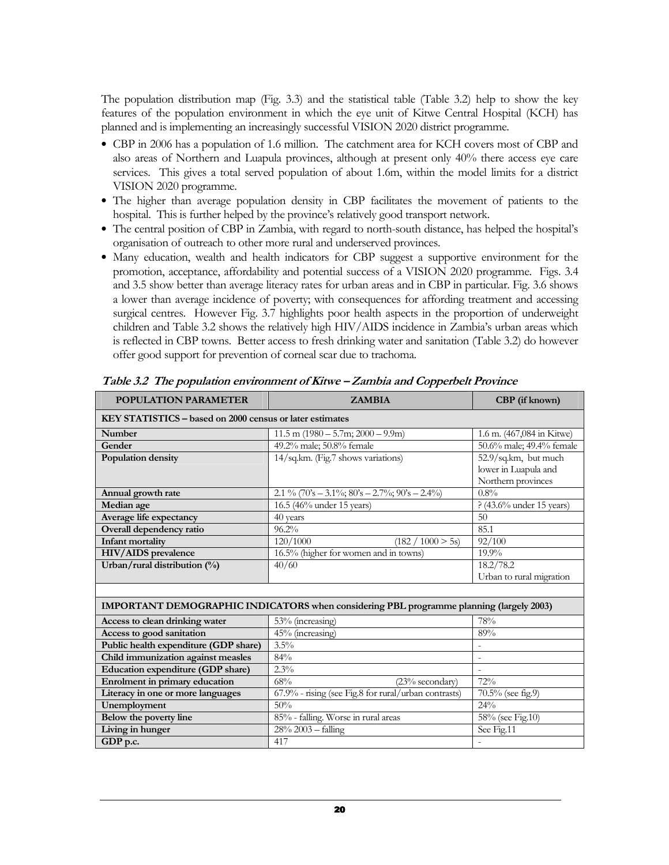The population distribution map (Fig. 3.3) and the statistical table (Table 3.2) help to show the key features of the population environment in which the eye unit of Kitwe Central Hospital (KCH) has planned and is implementing an increasingly successful VISION 2020 district programme.

- CBP in 2006 has a population of 1.6 million. The catchment area for KCH covers most of CBP and also areas of Northern and Luapula provinces, although at present only 40% there access eye care services. This gives a total served population of about 1.6m, within the model limits for a district VISION 2020 programme.
- The higher than average population density in CBP facilitates the movement of patients to the hospital. This is further helped by the province's relatively good transport network.
- The central position of CBP in Zambia, with regard to north-south distance, has helped the hospital's organisation of outreach to other more rural and underserved provinces.
- Many education, wealth and health indicators for CBP suggest a supportive environment for the promotion, acceptance, affordability and potential success of a VISION 2020 programme. Figs. 3.4 and 3.5 show better than average literacy rates for urban areas and in CBP in particular. Fig. 3.6 shows a lower than average incidence of poverty; with consequences for affording treatment and accessing surgical centres. However Fig. 3.7 highlights poor health aspects in the proportion of underweight children and Table 3.2 shows the relatively high HIV/AIDS incidence in Zambia's urban areas which is reflected in CBP towns. Better access to fresh drinking water and sanitation (Table 3.2) do however offer good support for prevention of corneal scar due to trachoma.

POPULATION PARAMETER ZAMBIA CBP (if known)

| KEY STATISTICS - based on 2000 census or later estimates |                                                                                         |                             |  |  |  |  |  |  |
|----------------------------------------------------------|-----------------------------------------------------------------------------------------|-----------------------------|--|--|--|--|--|--|
| Number                                                   | 11.5 m $(1980 - 5.7m; 2000 - 9.9m)$                                                     | 1.6 m. (467,084 in Kitwe)   |  |  |  |  |  |  |
| Gender                                                   | 49.2% male; 50.8% female                                                                | 50.6% male; 49.4% female    |  |  |  |  |  |  |
| Population density                                       | 14/sq.km. (Fig.7 shows variations)                                                      | 52.9/sq.km, but much        |  |  |  |  |  |  |
|                                                          |                                                                                         | lower in Luapula and        |  |  |  |  |  |  |
|                                                          |                                                                                         | Northern provinces          |  |  |  |  |  |  |
| Annual growth rate                                       | 2.1 % (70's - 3.1%; $80's - 2.7\%$ ; $90's - 2.4\%$ )                                   | $0.8\%$                     |  |  |  |  |  |  |
| Median age                                               | 16.5 (46% under 15 years)                                                               | $? (43.6\%$ under 15 years) |  |  |  |  |  |  |
| Average life expectancy                                  | 40 years                                                                                | 50                          |  |  |  |  |  |  |
| Overall dependency ratio                                 | $96.2\%$                                                                                | 85.1                        |  |  |  |  |  |  |
| <b>Infant mortality</b>                                  | 120/1000<br>(182 / 1000 > 5s)                                                           | 92/100                      |  |  |  |  |  |  |
| HIV/AIDS prevalence                                      | 16.5% (higher for women and in towns)                                                   | 19.9%                       |  |  |  |  |  |  |
| Urban/rural distribution (%)                             | 40/60                                                                                   | 18.2/78.2                   |  |  |  |  |  |  |
|                                                          |                                                                                         | Urban to rural migration    |  |  |  |  |  |  |
|                                                          |                                                                                         |                             |  |  |  |  |  |  |
|                                                          | IMPORTANT DEMOGRAPHIC INDICATORS when considering PBL programme planning (largely 2003) |                             |  |  |  |  |  |  |
| Access to clean drinking water                           | 53% (increasing)                                                                        | 78%                         |  |  |  |  |  |  |
| Access to good sanitation                                | 45% (increasing)                                                                        | 89%                         |  |  |  |  |  |  |
| Public health expenditure (GDP share)                    | $3.5\%$                                                                                 |                             |  |  |  |  |  |  |
| Child immunization against measles                       | 84%                                                                                     | $\sim$                      |  |  |  |  |  |  |
| Education expenditure (GDP share)                        | 2.3%                                                                                    | $\sim$                      |  |  |  |  |  |  |
| Enrolment in primary education                           | 68%<br>$(23%$ secondary)                                                                | 72%                         |  |  |  |  |  |  |
| Literacy in one or more languages                        | 67.9% - rising (see Fig.8 for rural/urban contrasts)                                    | $70.5\%$ (see fig.9)        |  |  |  |  |  |  |
| Unemployment                                             | 50%                                                                                     | 24%                         |  |  |  |  |  |  |
| Below the poverty line                                   | 85% - falling. Worse in rural areas                                                     | 58% (see Fig.10)            |  |  |  |  |  |  |
| Living in hunger                                         | $28% 2003 - falling$                                                                    | See Fig.11                  |  |  |  |  |  |  |
| GDP p.c.                                                 | 417                                                                                     |                             |  |  |  |  |  |  |

Table 3.2 The population environment of Kitwe – Zambia and Copperbelt Province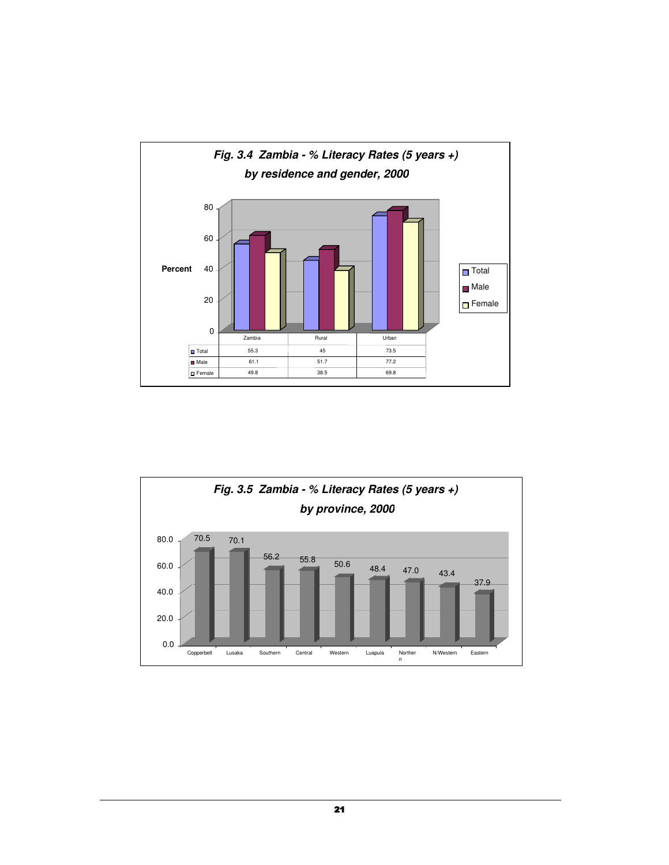

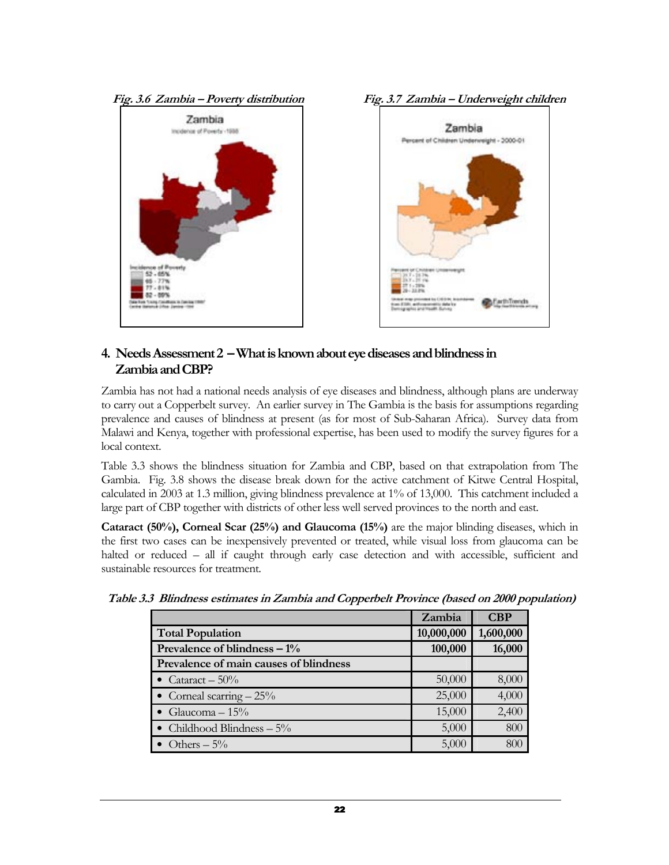





# 4. Needs Assessment 2 – What is known about eye diseases and blindness in Zambia and CBP?

Zambia has not had a national needs analysis of eye diseases and blindness, although plans are underway to carry out a Copperbelt survey. An earlier survey in The Gambia is the basis for assumptions regarding prevalence and causes of blindness at present (as for most of Sub-Saharan Africa). Survey data from Malawi and Kenya, together with professional expertise, has been used to modify the survey figures for a local context.

Table 3.3 shows the blindness situation for Zambia and CBP, based on that extrapolation from The Gambia. Fig. 3.8 shows the disease break down for the active catchment of Kitwe Central Hospital, calculated in 2003 at 1.3 million, giving blindness prevalence at 1% of 13,000. This catchment included a large part of CBP together with districts of other less well served provinces to the north and east.

Cataract (50%), Corneal Scar (25%) and Glaucoma (15%) are the major blinding diseases, which in the first two cases can be inexpensively prevented or treated, while visual loss from glaucoma can be halted or reduced – all if caught through early case detection and with accessible, sufficient and sustainable resources for treatment.

|                                        | Zambia     | <b>CBP</b> |
|----------------------------------------|------------|------------|
| <b>Total Population</b>                | 10,000,000 | 1,600,000  |
| Prevalence of blindness $-1\%$         | 100,000    | 16,000     |
| Prevalence of main causes of blindness |            |            |
| • Cataract $-50\%$                     | 50,000     | 8,000      |
| • Corneal scarring $-25%$              | 25,000     | 4,000      |
| • Glaucoma $-15\%$                     | 15,000     | 2,400      |
| • Childhood Blindness $-5\%$           | 5,000      | 800        |
| Others $-5\%$                          | 5,000      | 800        |

Table 3.3 Blindness estimates in Zambia and Copperbelt Province (based on 2000 population)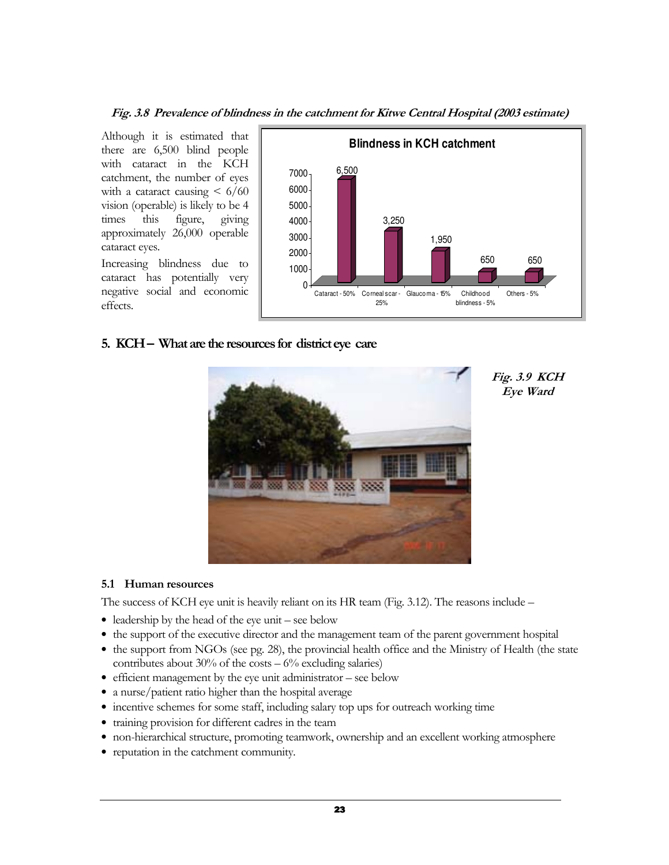Fig. 3.8 Prevalence of blindness in the catchment for Kitwe Central Hospital (2003 estimate)

Although it is estimated that there are 6,500 blind people with cataract in the KCH catchment, the number of eyes with a cataract causing  $\leq 6/60$ vision (operable) is likely to be 4 times this figure, giving approximately 26,000 operable cataract eyes.

Increasing blindness due to cataract has potentially very negative social and economic effects.



# 5. KCH – What are the resources for district eye care



Fig. 3.9 KCH Eye Ward

# 5.1 Human resources

The success of KCH eye unit is heavily reliant on its HR team (Fig. 3.12). The reasons include –

- leadership by the head of the eye unit see below
- the support of the executive director and the management team of the parent government hospital
- the support from NGOs (see pg. 28), the provincial health office and the Ministry of Health (the state contributes about  $30\%$  of the costs  $-6\%$  excluding salaries)
- efficient management by the eye unit administrator see below
- a nurse/patient ratio higher than the hospital average
- incentive schemes for some staff, including salary top ups for outreach working time
- training provision for different cadres in the team
- non-hierarchical structure, promoting teamwork, ownership and an excellent working atmosphere
- reputation in the catchment community.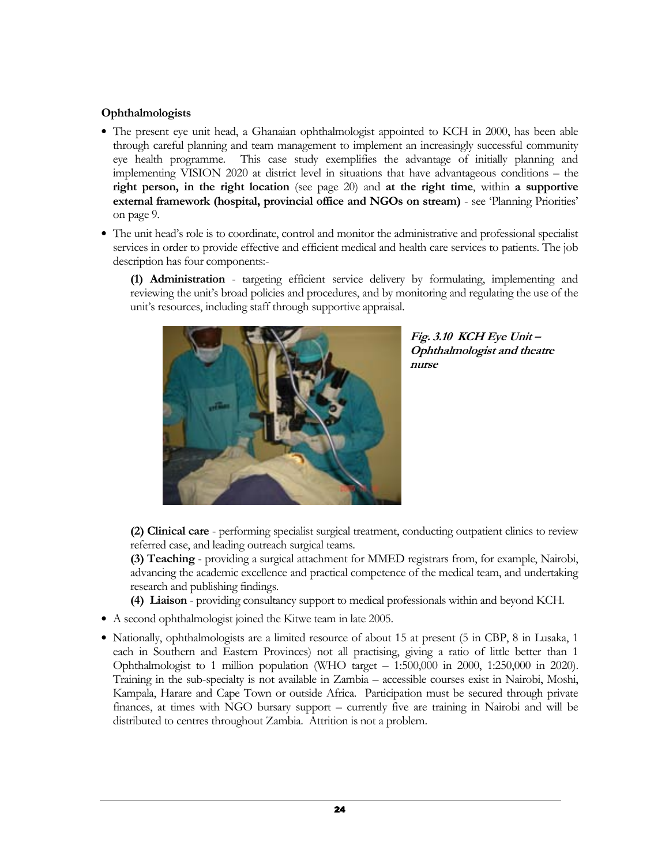# Ophthalmologists

- The present eye unit head, a Ghanaian ophthalmologist appointed to KCH in 2000, has been able through careful planning and team management to implement an increasingly successful community eye health programme. This case study exemplifies the advantage of initially planning and implementing VISION 2020 at district level in situations that have advantageous conditions – the right person, in the right location (see page 20) and at the right time, within a supportive external framework (hospital, provincial office and NGOs on stream) - see 'Planning Priorities' on page 9.
- The unit head's role is to coordinate, control and monitor the administrative and professional specialist services in order to provide effective and efficient medical and health care services to patients. The job description has four components:-
	- (1) Administration targeting efficient service delivery by formulating, implementing and reviewing the unit's broad policies and procedures, and by monitoring and regulating the use of the unit's resources, including staff through supportive appraisal.



Fig. 3.10 KCH Eye Unit – Ophthalmologist and theatre nurse

(2) Clinical care - performing specialist surgical treatment, conducting outpatient clinics to review referred case, and leading outreach surgical teams.

(3) Teaching - providing a surgical attachment for MMED registrars from, for example, Nairobi, advancing the academic excellence and practical competence of the medical team, and undertaking research and publishing findings.

- (4) Liaison providing consultancy support to medical professionals within and beyond KCH.
- A second ophthalmologist joined the Kitwe team in late 2005.
- Nationally, ophthalmologists are a limited resource of about 15 at present (5 in CBP, 8 in Lusaka, 1 each in Southern and Eastern Provinces) not all practising, giving a ratio of little better than 1 Ophthalmologist to 1 million population (WHO target – 1:500,000 in 2000, 1:250,000 in 2020). Training in the sub-specialty is not available in Zambia – accessible courses exist in Nairobi, Moshi, Kampala, Harare and Cape Town or outside Africa. Participation must be secured through private finances, at times with NGO bursary support – currently five are training in Nairobi and will be distributed to centres throughout Zambia. Attrition is not a problem.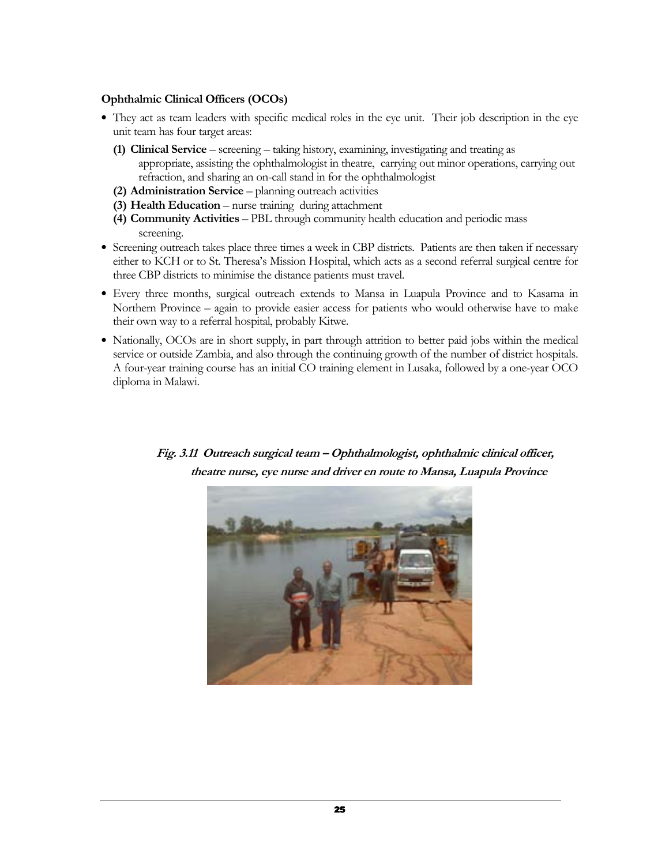#### Ophthalmic Clinical Officers (OCOs)

- They act as team leaders with specific medical roles in the eye unit. Their job description in the eye unit team has four target areas:
	- (1) Clinical Service screening taking history, examining, investigating and treating as appropriate, assisting the ophthalmologist in theatre, carrying out minor operations, carrying out refraction, and sharing an on-call stand in for the ophthalmologist
	- (2) Administration Service planning outreach activities
	- (3) Health Education nurse training during attachment
	- (4) Community Activities PBL through community health education and periodic mass screening.
- Screening outreach takes place three times a week in CBP districts. Patients are then taken if necessary either to KCH or to St. Theresa's Mission Hospital, which acts as a second referral surgical centre for three CBP districts to minimise the distance patients must travel.
- Every three months, surgical outreach extends to Mansa in Luapula Province and to Kasama in Northern Province – again to provide easier access for patients who would otherwise have to make their own way to a referral hospital, probably Kitwe.
- Nationally, OCOs are in short supply, in part through attrition to better paid jobs within the medical service or outside Zambia, and also through the continuing growth of the number of district hospitals. A four-year training course has an initial CO training element in Lusaka, followed by a one-year OCO diploma in Malawi.



 Fig. 3.11 Outreach surgical team – Ophthalmologist, ophthalmic clinical officer, theatre nurse, eye nurse and driver en route to Mansa, Luapula Province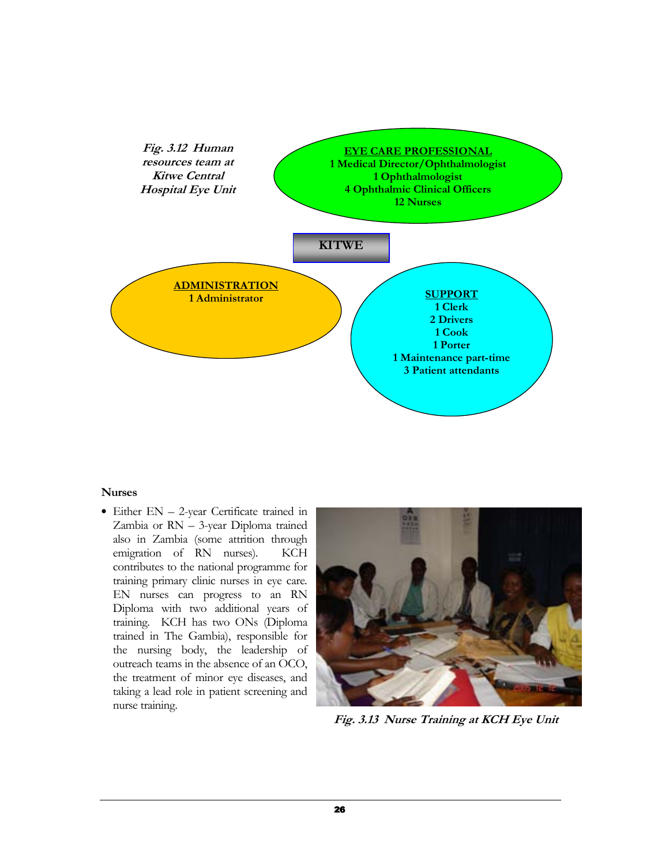

#### Nurses

• Either EN – 2-year Certificate trained in Zambia or RN – 3-year Diploma trained also in Zambia (some attrition through emigration of RN nurses). KCH contributes to the national programme for training primary clinic nurses in eye care. EN nurses can progress to an RN Diploma with two additional years of training. KCH has two ONs (Diploma trained in The Gambia), responsible for the nursing body, the leadership of outreach teams in the absence of an OCO, the treatment of minor eye diseases, and taking a lead role in patient screening and nurse training.



Fig. 3.13 Nurse Training at KCH Eye Unit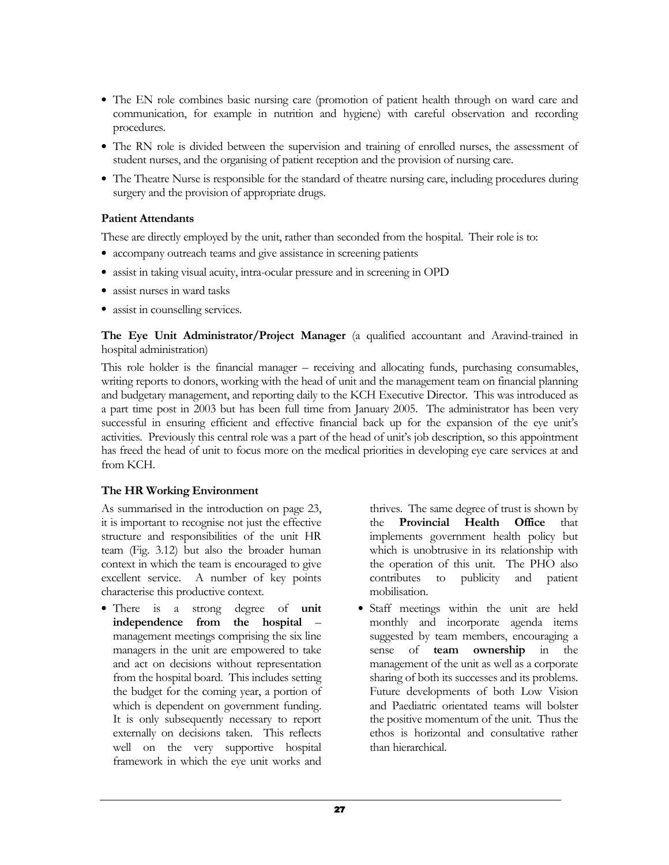- The EN role combines basic nursing care (promotion of patient health through on ward care and communication, for example in nutrition and hygiene) with careful observation and recording procedures.
- The RN role is divided between the supervision and training of enrolled nurses, the assessment of student nurses, and the organising of patient reception and the provision of nursing care.
- The Theatre Nurse is responsible for the standard of theatre nursing care, including procedures during surgery and the provision of appropriate drugs.

#### Patient Attendants

These are directly employed by the unit, rather than seconded from the hospital. Their role is to:

- accompany outreach teams and give assistance in screening patients
- assist in taking visual acuity, intra-ocular pressure and in screening in OPD
- assist nurses in ward tasks
- assist in counselling services.

The Eye Unit Administrator/Project Manager (a qualified accountant and Aravind-trained in hospital administration)

This role holder is the financial manager – receiving and allocating funds, purchasing consumables, writing reports to donors, working with the head of unit and the management team on financial planning and budgetary management, and reporting daily to the KCH Executive Director. This was introduced as a part time post in 2003 but has been full time from January 2005. The administrator has been very successful in ensuring efficient and effective financial back up for the expansion of the eye unit's activities. Previously this central role was a part of the head of unit's job description, so this appointment has freed the head of unit to focus more on the medical priorities in developing eye care services at and from KCH.

# The HR Working Environment

As summarised in the introduction on page 23, it is important to recognise not just the effective structure and responsibilities of the unit HR team (Fig. 3.12) but also the broader human context in which the team is encouraged to give excellent service. A number of key points characterise this productive context.

• There is a strong degree of **unit** independence from the hospital – management meetings comprising the six line managers in the unit are empowered to take and act on decisions without representation from the hospital board. This includes setting the budget for the coming year, a portion of which is dependent on government funding. It is only subsequently necessary to report externally on decisions taken. This reflects well on the very supportive hospital framework in which the eye unit works and

thrives. The same degree of trust is shown by the Provincial Health Office that implements government health policy but which is unobtrusive in its relationship with the operation of this unit. The PHO also contributes to publicity and patient mobilisation.

• Staff meetings within the unit are held monthly and incorporate agenda items suggested by team members, encouraging a sense of team ownership in the management of the unit as well as a corporate sharing of both its successes and its problems. Future developments of both Low Vision and Paediatric orientated teams will bolster the positive momentum of the unit. Thus the ethos is horizontal and consultative rather than hierarchical.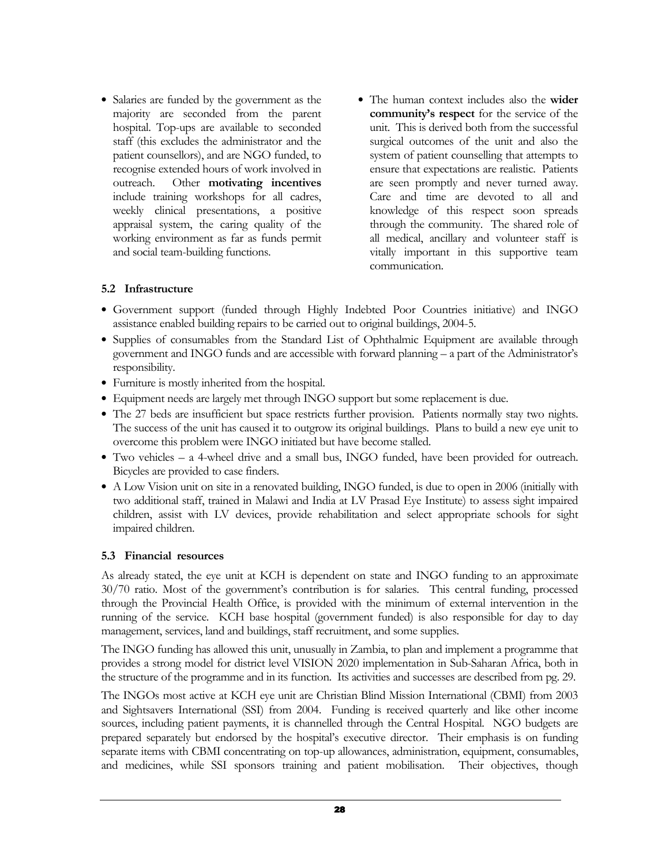- Salaries are funded by the government as the majority are seconded from the parent hospital. Top-ups are available to seconded staff (this excludes the administrator and the patient counsellors), and are NGO funded, to recognise extended hours of work involved in outreach. Other motivating incentives include training workshops for all cadres, weekly clinical presentations, a positive appraisal system, the caring quality of the working environment as far as funds permit and social team-building functions.
- The human context includes also the wider community's respect for the service of the unit. This is derived both from the successful surgical outcomes of the unit and also the system of patient counselling that attempts to ensure that expectations are realistic. Patients are seen promptly and never turned away. Care and time are devoted to all and knowledge of this respect soon spreads through the community. The shared role of all medical, ancillary and volunteer staff is vitally important in this supportive team communication.

#### 5.2 Infrastructure

- Government support (funded through Highly Indebted Poor Countries initiative) and INGO assistance enabled building repairs to be carried out to original buildings, 2004-5.
- Supplies of consumables from the Standard List of Ophthalmic Equipment are available through government and INGO funds and are accessible with forward planning – a part of the Administrator's responsibility.
- Furniture is mostly inherited from the hospital.
- Equipment needs are largely met through INGO support but some replacement is due.
- The 27 beds are insufficient but space restricts further provision. Patients normally stay two nights. The success of the unit has caused it to outgrow its original buildings. Plans to build a new eye unit to overcome this problem were INGO initiated but have become stalled.
- Two vehicles a 4-wheel drive and a small bus, INGO funded, have been provided for outreach. Bicycles are provided to case finders.
- A Low Vision unit on site in a renovated building, INGO funded, is due to open in 2006 (initially with two additional staff, trained in Malawi and India at LV Prasad Eye Institute) to assess sight impaired children, assist with LV devices, provide rehabilitation and select appropriate schools for sight impaired children.

#### 5.3 Financial resources

As already stated, the eye unit at KCH is dependent on state and INGO funding to an approximate 30/70 ratio. Most of the government's contribution is for salaries. This central funding, processed through the Provincial Health Office, is provided with the minimum of external intervention in the running of the service. KCH base hospital (government funded) is also responsible for day to day management, services, land and buildings, staff recruitment, and some supplies.

The INGO funding has allowed this unit, unusually in Zambia, to plan and implement a programme that provides a strong model for district level VISION 2020 implementation in Sub-Saharan Africa, both in the structure of the programme and in its function. Its activities and successes are described from pg. 29.

The INGOs most active at KCH eye unit are Christian Blind Mission International (CBMI) from 2003 and Sightsavers International (SSI) from 2004. Funding is received quarterly and like other income sources, including patient payments, it is channelled through the Central Hospital. NGO budgets are prepared separately but endorsed by the hospital's executive director. Their emphasis is on funding separate items with CBMI concentrating on top-up allowances, administration, equipment, consumables, and medicines, while SSI sponsors training and patient mobilisation. Their objectives, though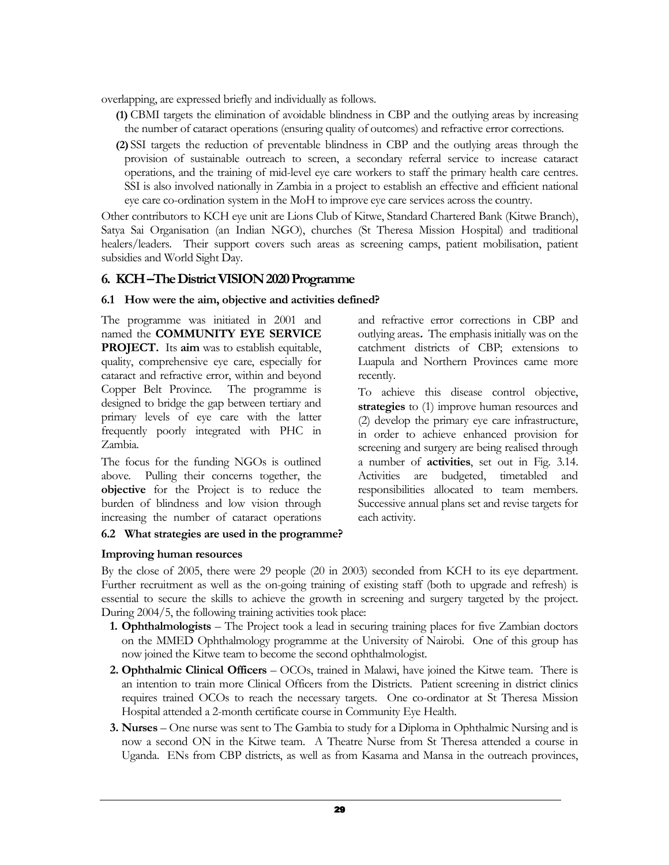overlapping, are expressed briefly and individually as follows.

- (1) CBMI targets the elimination of avoidable blindness in CBP and the outlying areas by increasing the number of cataract operations (ensuring quality of outcomes) and refractive error corrections.
- (2) SSI targets the reduction of preventable blindness in CBP and the outlying areas through the provision of sustainable outreach to screen, a secondary referral service to increase cataract operations, and the training of mid-level eye care workers to staff the primary health care centres. SSI is also involved nationally in Zambia in a project to establish an effective and efficient national eye care co-ordination system in the MoH to improve eye care services across the country.

Other contributors to KCH eye unit are Lions Club of Kitwe, Standard Chartered Bank (Kitwe Branch), Satya Sai Organisation (an Indian NGO), churches (St Theresa Mission Hospital) and traditional healers/leaders. Their support covers such areas as screening camps, patient mobilisation, patient subsidies and World Sight Day.

# 6. KCH –The District VISION 2020 Programme

# 6.1 How were the aim, objective and activities defined?

The programme was initiated in 2001 and named the COMMUNITY EYE SERVICE PROJECT. Its aim was to establish equitable, quality, comprehensive eye care, especially for cataract and refractive error, within and beyond Copper Belt Province. The programme is designed to bridge the gap between tertiary and primary levels of eye care with the latter frequently poorly integrated with PHC in Zambia.

The focus for the funding NGOs is outlined above. Pulling their concerns together, the objective for the Project is to reduce the burden of blindness and low vision through increasing the number of cataract operations

# 6.2 What strategies are used in the programme?

Improving human resources

and refractive error corrections in CBP and outlying areas. The emphasis initially was on the catchment districts of CBP; extensions to Luapula and Northern Provinces came more recently.

To achieve this disease control objective, strategies to (1) improve human resources and (2) develop the primary eye care infrastructure, in order to achieve enhanced provision for screening and surgery are being realised through a number of activities, set out in Fig. 3.14. Activities are budgeted, timetabled and responsibilities allocated to team members. Successive annual plans set and revise targets for each activity.

By the close of 2005, there were 29 people (20 in 2003) seconded from KCH to its eye department. Further recruitment as well as the on-going training of existing staff (both to upgrade and refresh) is essential to secure the skills to achieve the growth in screening and surgery targeted by the project. During 2004/5, the following training activities took place:

- 1. Ophthalmologists The Project took a lead in securing training places for five Zambian doctors on the MMED Ophthalmology programme at the University of Nairobi. One of this group has now joined the Kitwe team to become the second ophthalmologist.
- 2. Ophthalmic Clinical Officers OCOs, trained in Malawi, have joined the Kitwe team. There is an intention to train more Clinical Officers from the Districts. Patient screening in district clinics requires trained OCOs to reach the necessary targets. One co-ordinator at St Theresa Mission Hospital attended a 2-month certificate course in Community Eye Health.
- 3. Nurses One nurse was sent to The Gambia to study for a Diploma in Ophthalmic Nursing and is now a second ON in the Kitwe team. A Theatre Nurse from St Theresa attended a course in Uganda. ENs from CBP districts, as well as from Kasama and Mansa in the outreach provinces,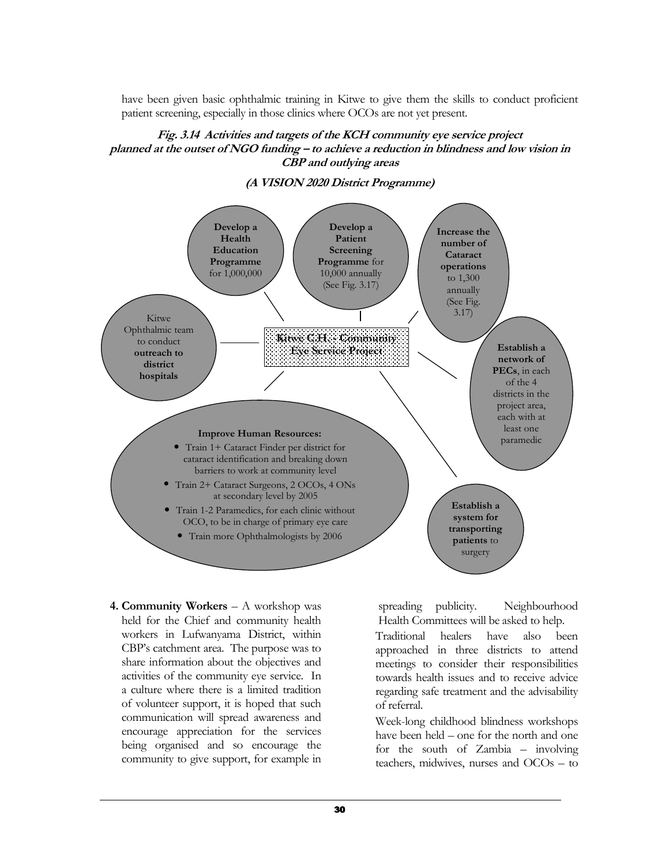have been given basic ophthalmic training in Kitwe to give them the skills to conduct proficient patient screening, especially in those clinics where OCOs are not yet present.

#### Fig. 3.14 Activities and targets of the KCH community eye service project planned at the outset of NGO funding – to achieve a reduction in blindness and low vision in CBP and outlying areas



(A VISION 2020 District Programme)

4. Community Workers – A workshop was held for the Chief and community health workers in Lufwanyama District, within CBP's catchment area. The purpose was to share information about the objectives and activities of the community eye service. In a culture where there is a limited tradition of volunteer support, it is hoped that such communication will spread awareness and encourage appreciation for the services being organised and so encourage the community to give support, for example in

spreading publicity. Neighbourhood Health Committees will be asked to help.

Traditional healers have also been approached in three districts to attend meetings to consider their responsibilities towards health issues and to receive advice regarding safe treatment and the advisability of referral.

Week-long childhood blindness workshops have been held – one for the north and one for the south of Zambia – involving teachers, midwives, nurses and OCOs – to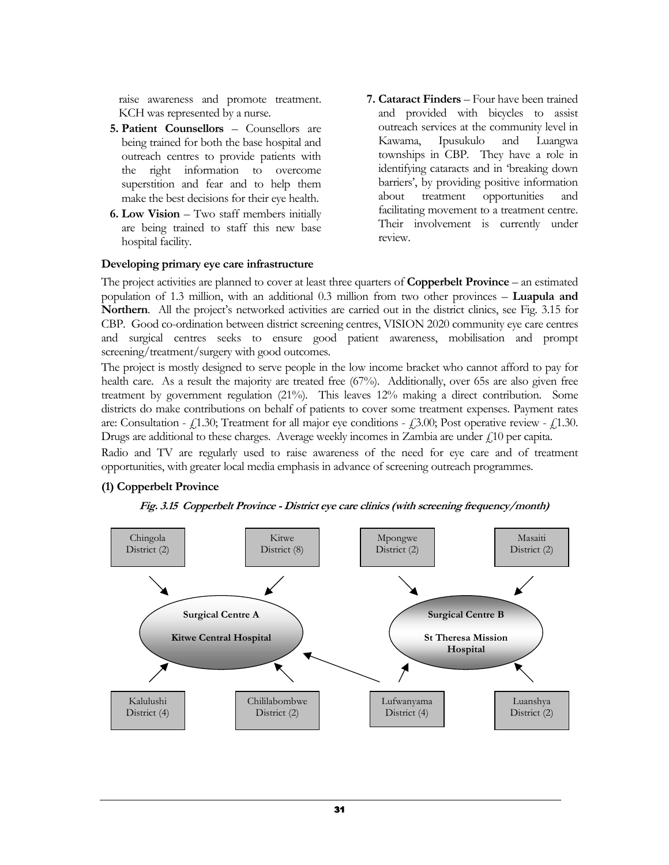raise awareness and promote treatment. KCH was represented by a nurse.

- 5. Patient Counsellors Counsellors are being trained for both the base hospital and outreach centres to provide patients with the right information to overcome superstition and fear and to help them make the best decisions for their eye health.
- 6. Low Vision Two staff members initially are being trained to staff this new base hospital facility.

#### Developing primary eye care infrastructure

7. Cataract Finders – Four have been trained and provided with bicycles to assist outreach services at the community level in Kawama, Ipusukulo and Luangwa townships in CBP. They have a role in identifying cataracts and in 'breaking down barriers', by providing positive information about treatment opportunities and facilitating movement to a treatment centre. Their involvement is currently under review.

The project activities are planned to cover at least three quarters of **Copperbelt Province** – an estimated population of 1.3 million, with an additional 0.3 million from two other provinces – Luapula and Northern. All the project's networked activities are carried out in the district clinics, see Fig. 3.15 for CBP. Good co-ordination between district screening centres, VISION 2020 community eye care centres and surgical centres seeks to ensure good patient awareness, mobilisation and prompt screening/treatment/surgery with good outcomes.

The project is mostly designed to serve people in the low income bracket who cannot afford to pay for health care. As a result the majority are treated free (67%). Additionally, over 65s are also given free treatment by government regulation (21%). This leaves 12% making a direct contribution. Some districts do make contributions on behalf of patients to cover some treatment expenses. Payment rates are: Consultation -  $f(1.30)$ ; Treatment for all major eye conditions -  $f(3.00)$ ; Post operative review -  $f(1.30)$ . Drugs are additional to these charges. Average weekly incomes in Zambia are under  $\zeta$ 10 per capita.

Radio and TV are regularly used to raise awareness of the need for eye care and of treatment opportunities, with greater local media emphasis in advance of screening outreach programmes.

# (1) Copperbelt Province



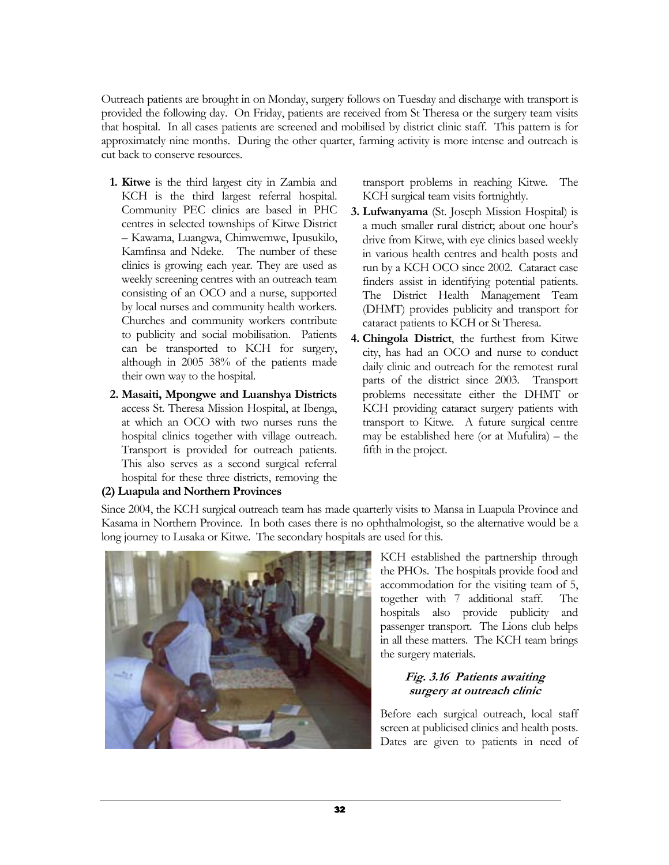Outreach patients are brought in on Monday, surgery follows on Tuesday and discharge with transport is provided the following day. On Friday, patients are received from St Theresa or the surgery team visits that hospital. In all cases patients are screened and mobilised by district clinic staff. This pattern is for approximately nine months. During the other quarter, farming activity is more intense and outreach is cut back to conserve resources.

- 1. Kitwe is the third largest city in Zambia and KCH is the third largest referral hospital. Community PEC clinics are based in PHC centres in selected townships of Kitwe District – Kawama, Luangwa, Chimwemwe, Ipusukilo, Kamfinsa and Ndeke. The number of these clinics is growing each year. They are used as weekly screening centres with an outreach team consisting of an OCO and a nurse, supported by local nurses and community health workers. Churches and community workers contribute to publicity and social mobilisation. Patients can be transported to KCH for surgery, although in 2005 38% of the patients made their own way to the hospital.
- 2. Masaiti, Mpongwe and Luanshya Districts access St. Theresa Mission Hospital, at Ibenga, at which an OCO with two nurses runs the hospital clinics together with village outreach. Transport is provided for outreach patients. This also serves as a second surgical referral hospital for these three districts, removing the (2) Luapula and Northern Provinces

transport problems in reaching Kitwe. The KCH surgical team visits fortnightly.

- 3. Lufwanyama (St. Joseph Mission Hospital) is a much smaller rural district; about one hour's drive from Kitwe, with eye clinics based weekly in various health centres and health posts and run by a KCH OCO since 2002. Cataract case finders assist in identifying potential patients. The District Health Management Team (DHMT) provides publicity and transport for cataract patients to KCH or St Theresa.
- 4. Chingola District, the furthest from Kitwe city, has had an OCO and nurse to conduct daily clinic and outreach for the remotest rural parts of the district since 2003. Transport problems necessitate either the DHMT or KCH providing cataract surgery patients with transport to Kitwe. A future surgical centre may be established here (or at Mufulira) – the fifth in the project.

Since 2004, the KCH surgical outreach team has made quarterly visits to Mansa in Luapula Province and Kasama in Northern Province. In both cases there is no ophthalmologist, so the alternative would be a long journey to Lusaka or Kitwe. The secondary hospitals are used for this.

> KCH established the partnership through the PHOs. The hospitals provide food and accommodation for the visiting team of 5, together with 7 additional staff. The hospitals also provide publicity and passenger transport. The Lions club helps in all these matters. The KCH team brings the surgery materials.

# Fig. 3.16 Patients awaiting surgery at outreach clinic

Before each surgical outreach, local staff screen at publicised clinics and health posts. Dates are given to patients in need of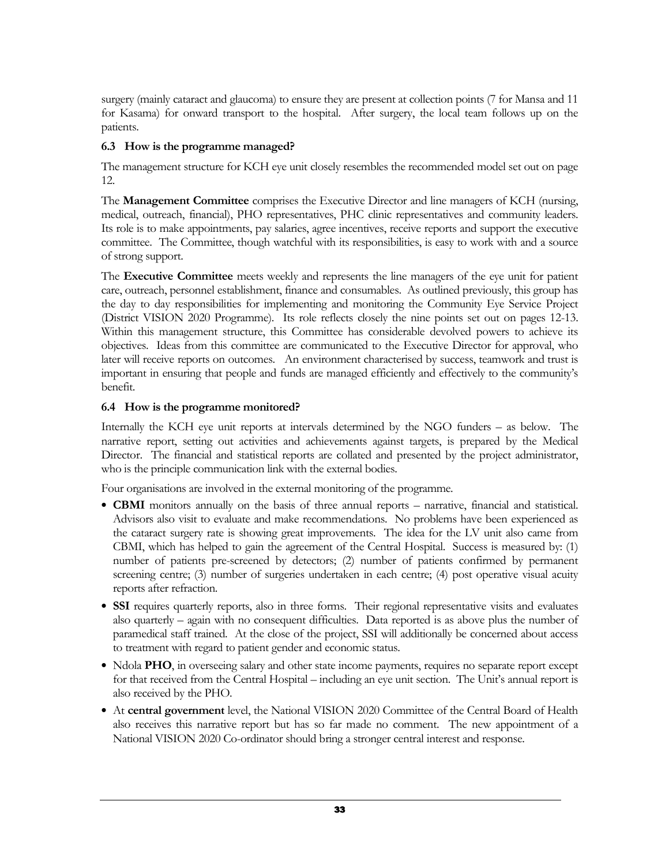surgery (mainly cataract and glaucoma) to ensure they are present at collection points (7 for Mansa and 11 for Kasama) for onward transport to the hospital. After surgery, the local team follows up on the patients.

# 6.3 How is the programme managed?

The management structure for KCH eye unit closely resembles the recommended model set out on page 12.

The Management Committee comprises the Executive Director and line managers of KCH (nursing, medical, outreach, financial), PHO representatives, PHC clinic representatives and community leaders. Its role is to make appointments, pay salaries, agree incentives, receive reports and support the executive committee. The Committee, though watchful with its responsibilities, is easy to work with and a source of strong support.

The Executive Committee meets weekly and represents the line managers of the eye unit for patient care, outreach, personnel establishment, finance and consumables. As outlined previously, this group has the day to day responsibilities for implementing and monitoring the Community Eye Service Project (District VISION 2020 Programme). Its role reflects closely the nine points set out on pages 12-13. Within this management structure, this Committee has considerable devolved powers to achieve its objectives. Ideas from this committee are communicated to the Executive Director for approval, who later will receive reports on outcomes. An environment characterised by success, teamwork and trust is important in ensuring that people and funds are managed efficiently and effectively to the community's benefit.

# 6.4 How is the programme monitored?

Internally the KCH eye unit reports at intervals determined by the NGO funders – as below. The narrative report, setting out activities and achievements against targets, is prepared by the Medical Director. The financial and statistical reports are collated and presented by the project administrator, who is the principle communication link with the external bodies.

Four organisations are involved in the external monitoring of the programme.

- CBMI monitors annually on the basis of three annual reports narrative, financial and statistical. Advisors also visit to evaluate and make recommendations. No problems have been experienced as the cataract surgery rate is showing great improvements. The idea for the LV unit also came from CBMI, which has helped to gain the agreement of the Central Hospital. Success is measured by: (1) number of patients pre-screened by detectors; (2) number of patients confirmed by permanent screening centre; (3) number of surgeries undertaken in each centre; (4) post operative visual acuity reports after refraction.
- SSI requires quarterly reports, also in three forms. Their regional representative visits and evaluates also quarterly – again with no consequent difficulties. Data reported is as above plus the number of paramedical staff trained. At the close of the project, SSI will additionally be concerned about access to treatment with regard to patient gender and economic status.
- Ndola PHO, in overseeing salary and other state income payments, requires no separate report except for that received from the Central Hospital – including an eye unit section. The Unit's annual report is also received by the PHO.
- At central government level, the National VISION 2020 Committee of the Central Board of Health also receives this narrative report but has so far made no comment. The new appointment of a National VISION 2020 Co-ordinator should bring a stronger central interest and response.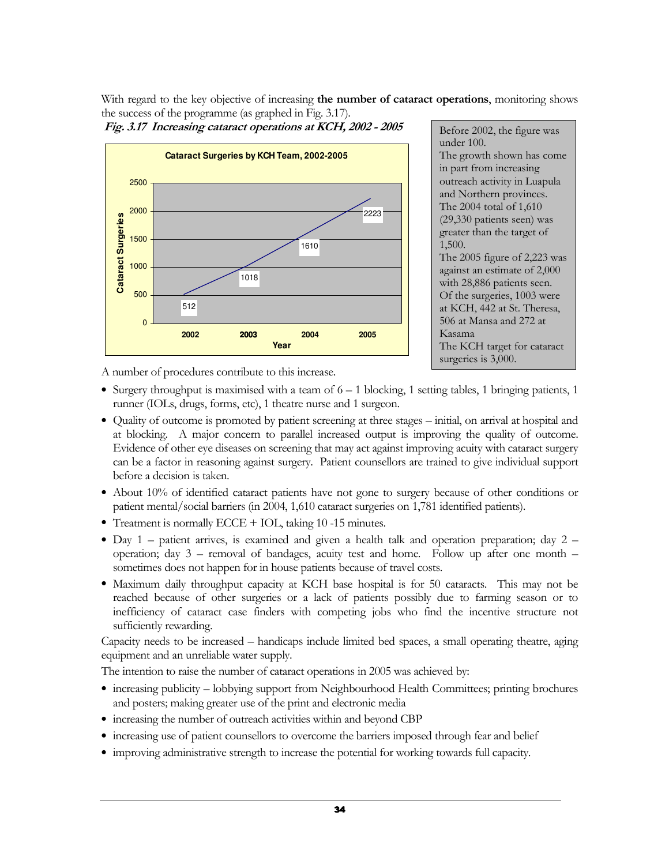With regard to the key objective of increasing the number of cataract operations, monitoring shows the success of the programme (as graphed in Fig. 3.17).





Before 2002, the figure was under 100. The growth shown has come in part from increasing outreach activity in Luapula and Northern provinces. The 2004 total of 1,610 (29,330 patients seen) was greater than the target of 1,500. The 2005 figure of 2,223 was against an estimate of 2,000 with 28,886 patients seen. Of the surgeries, 1003 were at KCH, 442 at St. Theresa, 506 at Mansa and 272 at Kasama The KCH target for cataract surgeries is 3,000.

A number of procedures contribute to this increase.

- Surgery throughput is maximised with a team of  $6 1$  blocking, 1 setting tables, 1 bringing patients, 1 runner (IOLs, drugs, forms, etc), 1 theatre nurse and 1 surgeon.
- Quality of outcome is promoted by patient screening at three stages initial, on arrival at hospital and at blocking. A major concern to parallel increased output is improving the quality of outcome. Evidence of other eye diseases on screening that may act against improving acuity with cataract surgery can be a factor in reasoning against surgery. Patient counsellors are trained to give individual support before a decision is taken.
- About 10% of identified cataract patients have not gone to surgery because of other conditions or patient mental/social barriers (in 2004, 1,610 cataract surgeries on 1,781 identified patients).
- Treatment is normally ECCE + IOL, taking 10 -15 minutes.
- Day 1 patient arrives, is examined and given a health talk and operation preparation; day 2 operation; day 3 – removal of bandages, acuity test and home. Follow up after one month – sometimes does not happen for in house patients because of travel costs.
- Maximum daily throughput capacity at KCH base hospital is for 50 cataracts. This may not be reached because of other surgeries or a lack of patients possibly due to farming season or to inefficiency of cataract case finders with competing jobs who find the incentive structure not sufficiently rewarding.

Capacity needs to be increased – handicaps include limited bed spaces, a small operating theatre, aging equipment and an unreliable water supply.

The intention to raise the number of cataract operations in 2005 was achieved by:

- increasing publicity lobbying support from Neighbourhood Health Committees; printing brochures and posters; making greater use of the print and electronic media
- increasing the number of outreach activities within and beyond CBP
- increasing use of patient counsellors to overcome the barriers imposed through fear and belief
- improving administrative strength to increase the potential for working towards full capacity.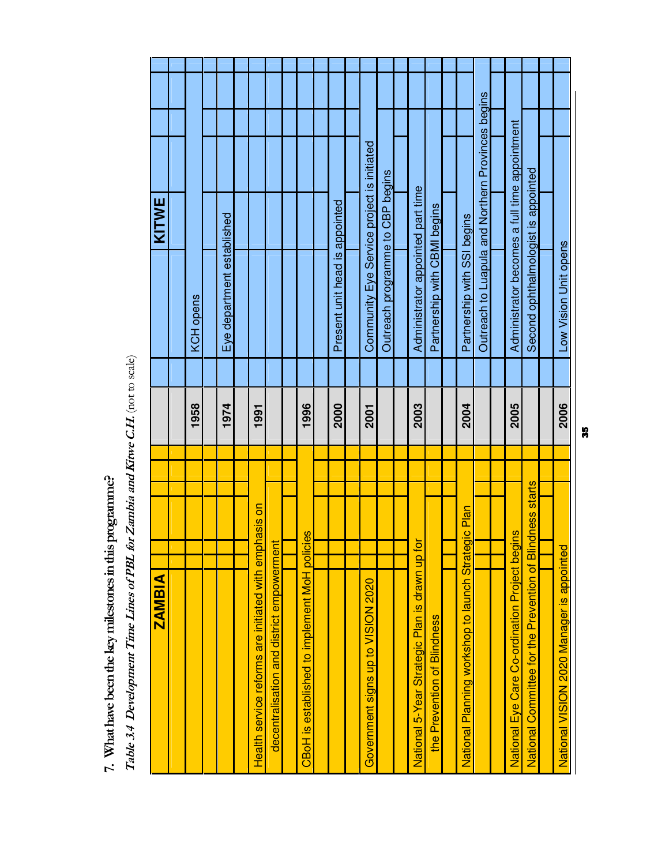| KITWE         |           |                            |                                                       |                                           |                                      |                                |                                            |                                  |                                               |                              |                                                     |                                                   |                                               |                                                           |                                           |
|---------------|-----------|----------------------------|-------------------------------------------------------|-------------------------------------------|--------------------------------------|--------------------------------|--------------------------------------------|----------------------------------|-----------------------------------------------|------------------------------|-----------------------------------------------------|---------------------------------------------------|-----------------------------------------------|-----------------------------------------------------------|-------------------------------------------|
|               |           |                            |                                                       |                                           |                                      |                                |                                            |                                  |                                               |                              |                                                     |                                                   |                                               |                                                           |                                           |
|               |           |                            |                                                       |                                           |                                      |                                |                                            |                                  |                                               |                              |                                                     |                                                   |                                               |                                                           |                                           |
|               |           |                            |                                                       |                                           |                                      |                                |                                            |                                  |                                               |                              |                                                     |                                                   |                                               |                                                           |                                           |
|               |           |                            |                                                       |                                           |                                      |                                |                                            |                                  |                                               |                              |                                                     |                                                   |                                               |                                                           |                                           |
|               | KCH opens | Eye department established |                                                       |                                           |                                      | Present unit head is appointed | Community Eye Service project is initiated | Outreach programme to CBP begins | Administrator appointed part time             | Partnership with CBMI begins | Partnership with SSI begins                         | Outreach to Luapula and Northern Provinces begins | Administrator becomes a full time appointment | Second ophthalmologist is appointed                       | Low Vision Unit opens                     |
|               |           |                            |                                                       |                                           |                                      |                                |                                            |                                  |                                               |                              |                                                     |                                                   |                                               |                                                           |                                           |
|               |           |                            |                                                       |                                           |                                      |                                |                                            |                                  |                                               |                              |                                                     |                                                   |                                               |                                                           |                                           |
|               | 1958      | 1974                       | 1991                                                  |                                           | 1996                                 | 2000                           | 2001                                       |                                  | 2003                                          |                              | 2004                                                |                                                   | 2005                                          |                                                           | 2006                                      |
|               |           |                            |                                                       |                                           |                                      |                                |                                            |                                  |                                               |                              |                                                     |                                                   |                                               |                                                           |                                           |
|               |           |                            |                                                       |                                           |                                      |                                |                                            |                                  |                                               |                              |                                                     |                                                   |                                               |                                                           |                                           |
|               |           |                            |                                                       |                                           |                                      |                                |                                            |                                  |                                               |                              |                                                     |                                                   |                                               |                                                           |                                           |
|               |           |                            |                                                       |                                           |                                      |                                |                                            |                                  |                                               |                              |                                                     |                                                   |                                               |                                                           |                                           |
|               |           |                            |                                                       |                                           | es                                   |                                |                                            |                                  |                                               |                              |                                                     |                                                   | Sul                                           |                                                           |                                           |
|               |           |                            |                                                       |                                           | polici                               |                                |                                            |                                  |                                               |                              |                                                     |                                                   |                                               |                                                           |                                           |
| <b>ZAMBIA</b> |           |                            |                                                       |                                           |                                      |                                |                                            |                                  |                                               |                              |                                                     |                                                   |                                               |                                                           |                                           |
|               |           |                            |                                                       |                                           |                                      |                                |                                            |                                  |                                               |                              |                                                     |                                                   |                                               |                                                           |                                           |
|               |           |                            |                                                       |                                           |                                      |                                |                                            |                                  |                                               |                              |                                                     |                                                   |                                               |                                                           |                                           |
|               |           |                            |                                                       |                                           |                                      |                                |                                            |                                  |                                               |                              |                                                     |                                                   |                                               |                                                           |                                           |
|               |           |                            |                                                       |                                           |                                      |                                |                                            |                                  |                                               |                              |                                                     |                                                   |                                               |                                                           |                                           |
|               |           |                            |                                                       |                                           |                                      |                                |                                            |                                  |                                               |                              |                                                     |                                                   |                                               |                                                           |                                           |
|               |           |                            | Health service reforms are initiated with emphasis on | decentralisation and district empowerment | CBoH is established to implement MoH |                                | Government signs up to VISION 2020         |                                  | National 5-Year Strategic Plan is drawn up fo | the Prevention of Blindness  | National Planning workshop to launch Strategic Plan |                                                   | National Eye Care Co-ordination Project begi  | National Committee for the Prevention of Blindness starts | National VISION 2020 Manager is appointed |
|               |           |                            |                                                       |                                           |                                      |                                |                                            |                                  |                                               |                              |                                                     |                                                   |                                               |                                                           |                                           |

35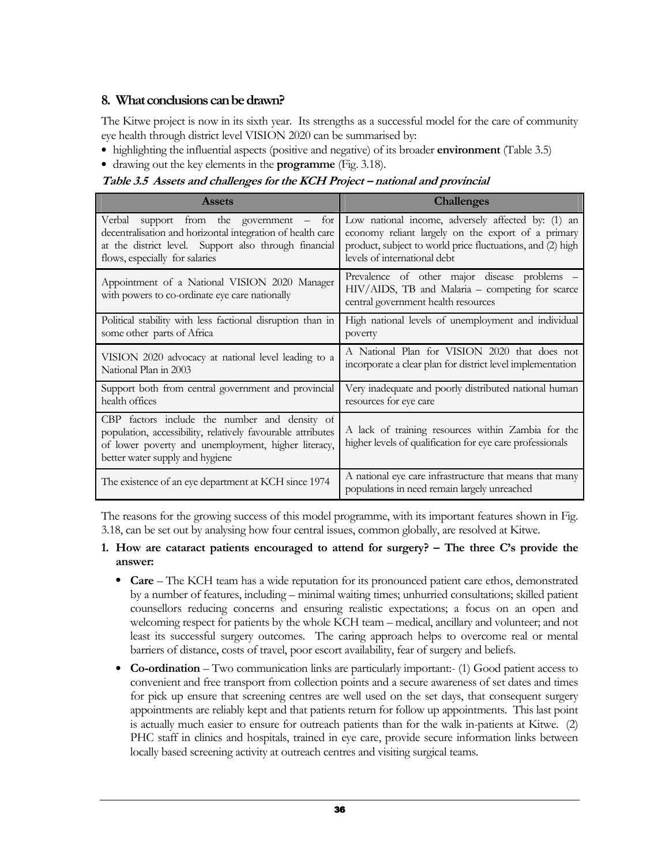# 8. What conclusions can be drawn?

The Kitwe project is now in its sixth year. Its strengths as a successful model for the care of community eye health through district level VISION 2020 can be summarised by:

- highlighting the influential aspects (positive and negative) of its broader **environment** (Table 3.5)
- drawing out the key elements in the **programme** (Fig. 3.18).

Table 3.5 Assets and challenges for the KCH Project – national and provincial

| <b>Assets</b>                                                                                                                                                                                          | <b>Challenges</b>                                                                                                                      |
|--------------------------------------------------------------------------------------------------------------------------------------------------------------------------------------------------------|----------------------------------------------------------------------------------------------------------------------------------------|
| Verbal support from the government – for                                                                                                                                                               | Low national income, adversely affected by: (1) an                                                                                     |
| decentralisation and horizontal integration of health care                                                                                                                                             | economy reliant largely on the export of a primary                                                                                     |
| at the district level. Support also through financial                                                                                                                                                  | product, subject to world price fluctuations, and (2) high                                                                             |
| flows, especially for salaries                                                                                                                                                                         | levels of international debt                                                                                                           |
| Appointment of a National VISION 2020 Manager<br>with powers to co-ordinate eye care nationally                                                                                                        | Prevalence of other major disease problems –<br>HIV/AIDS, TB and Malaria - competing for scarce<br>central government health resources |
| Political stability with less factional disruption than in                                                                                                                                             | High national levels of unemployment and individual                                                                                    |
| some other parts of Africa                                                                                                                                                                             | poverty                                                                                                                                |
| VISION 2020 advocacy at national level leading to a                                                                                                                                                    | A National Plan for VISION 2020 that does not                                                                                          |
| National Plan in 2003                                                                                                                                                                                  | incorporate a clear plan for district level implementation                                                                             |
| Support both from central government and provincial                                                                                                                                                    | Very inadequate and poorly distributed national human                                                                                  |
| health offices                                                                                                                                                                                         | resources for eye care                                                                                                                 |
| CBP factors include the number and density of<br>population, accessibility, relatively favourable attributes<br>of lower poverty and unemployment, higher literacy,<br>better water supply and hygiene | A lack of training resources within Zambia for the<br>higher levels of qualification for eye care professionals                        |
| The existence of an eye department at KCH since 1974                                                                                                                                                   | A national eye care infrastructure that means that many<br>populations in need remain largely unreached                                |

The reasons for the growing success of this model programme, with its important features shown in Fig. 3.18, can be set out by analysing how four central issues, common globally, are resolved at Kitwe.

#### 1. How are cataract patients encouraged to attend for surgery? – The three C's provide the answer:

- Care The KCH team has a wide reputation for its pronounced patient care ethos, demonstrated by a number of features, including – minimal waiting times; unhurried consultations; skilled patient counsellors reducing concerns and ensuring realistic expectations; a focus on an open and welcoming respect for patients by the whole KCH team – medical, ancillary and volunteer; and not least its successful surgery outcomes. The caring approach helps to overcome real or mental barriers of distance, costs of travel, poor escort availability, fear of surgery and beliefs.
- Co-ordination Two communication links are particularly important: (1) Good patient access to convenient and free transport from collection points and a secure awareness of set dates and times for pick up ensure that screening centres are well used on the set days, that consequent surgery appointments are reliably kept and that patients return for follow up appointments. This last point is actually much easier to ensure for outreach patients than for the walk in-patients at Kitwe. (2) PHC staff in clinics and hospitals, trained in eye care, provide secure information links between locally based screening activity at outreach centres and visiting surgical teams.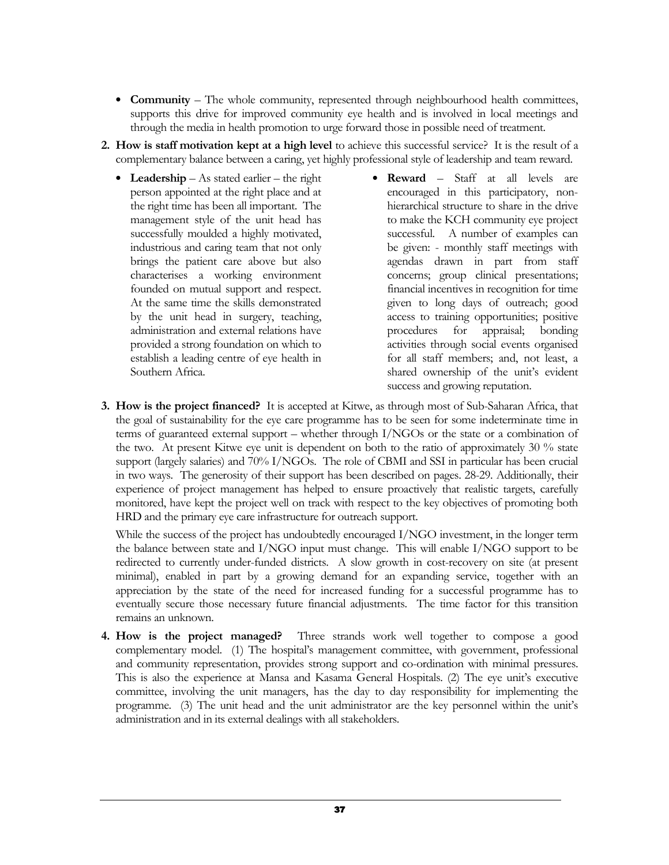- **Community** The whole community, represented through neighbourhood health committees, supports this drive for improved community eye health and is involved in local meetings and through the media in health promotion to urge forward those in possible need of treatment.
- 2. How is staff motivation kept at a high level to achieve this successful service? It is the result of a complementary balance between a caring, yet highly professional style of leadership and team reward.
	- Leadership As stated earlier the right person appointed at the right place and at the right time has been all important. The management style of the unit head has successfully moulded a highly motivated, industrious and caring team that not only brings the patient care above but also characterises a working environment founded on mutual support and respect. At the same time the skills demonstrated by the unit head in surgery, teaching, administration and external relations have provided a strong foundation on which to establish a leading centre of eye health in Southern Africa.
- Reward Staff at all levels are encouraged in this participatory, nonhierarchical structure to share in the drive to make the KCH community eye project successful. A number of examples can be given: - monthly staff meetings with agendas drawn in part from staff concerns; group clinical presentations; financial incentives in recognition for time given to long days of outreach; good access to training opportunities; positive procedures for appraisal; bonding activities through social events organised for all staff members; and, not least, a shared ownership of the unit's evident success and growing reputation.
- 3. How is the project financed? It is accepted at Kitwe, as through most of Sub-Saharan Africa, that the goal of sustainability for the eye care programme has to be seen for some indeterminate time in terms of guaranteed external support – whether through I/NGOs or the state or a combination of the two. At present Kitwe eye unit is dependent on both to the ratio of approximately 30 % state support (largely salaries) and 70% I/NGOs. The role of CBMI and SSI in particular has been crucial in two ways. The generosity of their support has been described on pages. 28-29. Additionally, their experience of project management has helped to ensure proactively that realistic targets, carefully monitored, have kept the project well on track with respect to the key objectives of promoting both HRD and the primary eye care infrastructure for outreach support.

While the success of the project has undoubtedly encouraged I/NGO investment, in the longer term the balance between state and I/NGO input must change. This will enable I/NGO support to be redirected to currently under-funded districts. A slow growth in cost-recovery on site (at present minimal), enabled in part by a growing demand for an expanding service, together with an appreciation by the state of the need for increased funding for a successful programme has to eventually secure those necessary future financial adjustments. The time factor for this transition remains an unknown.

4. How is the project managed? Three strands work well together to compose a good complementary model. (1) The hospital's management committee, with government, professional and community representation, provides strong support and co-ordination with minimal pressures. This is also the experience at Mansa and Kasama General Hospitals. (2) The eye unit's executive committee, involving the unit managers, has the day to day responsibility for implementing the programme. (3) The unit head and the unit administrator are the key personnel within the unit's administration and in its external dealings with all stakeholders.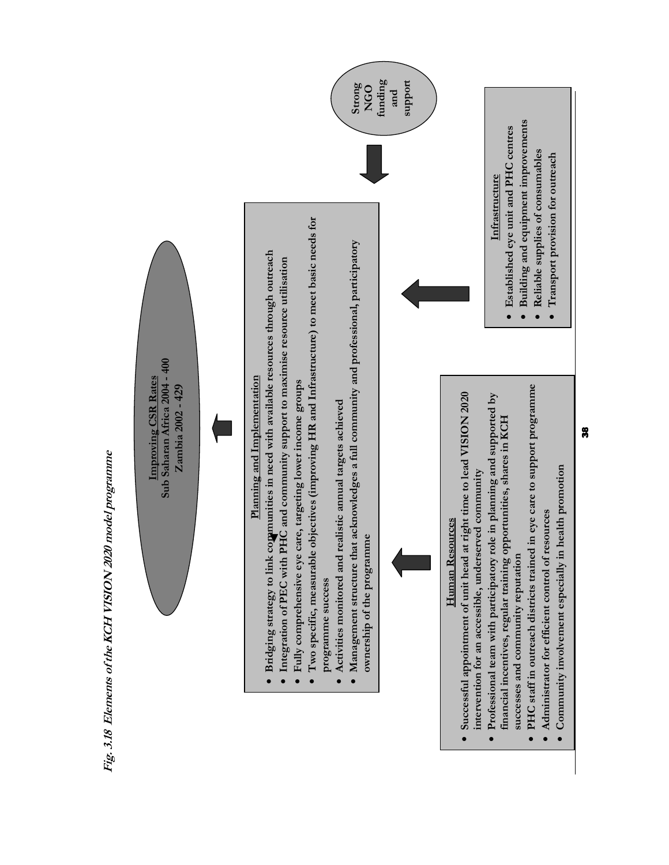